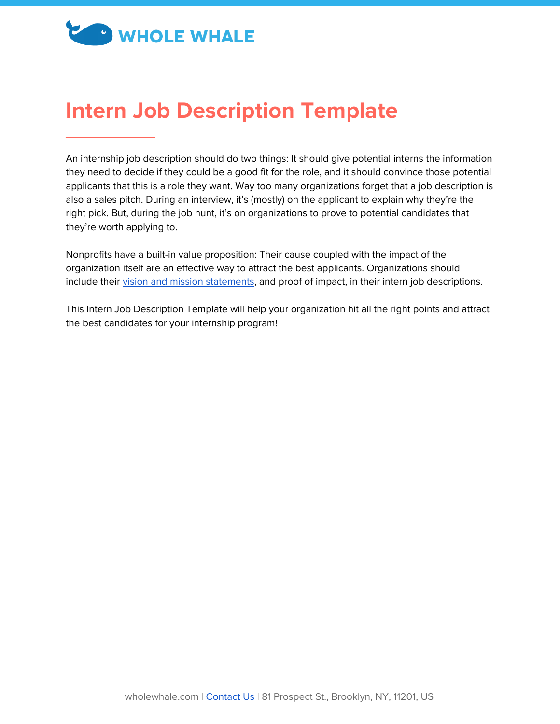# **CO WHOLE WHALE**

 $\overline{\phantom{a}}$  , and the set of the set of the set of the set of the set of the set of the set of the set of the set of the set of the set of the set of the set of the set of the set of the set of the set of the set of the s

## **Intern Job Description Template**

An internship job description should do two things: It should give potential interns the information they need to decide if they could be a good fit for the role, and it should convince those potential applicants that this is a role they want. Way too many organizations forget that a job description is also a sales pitch. During an interview, it's (mostly) on the applicant to explain why they're the right pick. But, during the job hunt, it's on organizations to prove to potential candidates that they're worth applying to.

Nonprofits have a built-in value proposition: Their cause coupled with the impact of the organization itself are an effective way to attract the best applicants. Organizations should include their vision and mission [statements](https://www.wholewhale.com/tips/nonprofit-mission-statements-vs-vision-statements/), and proof of impact, in their intern job descriptions.

This Intern Job Description Template will help your organization hit all the right points and attract the best candidates for your internship program!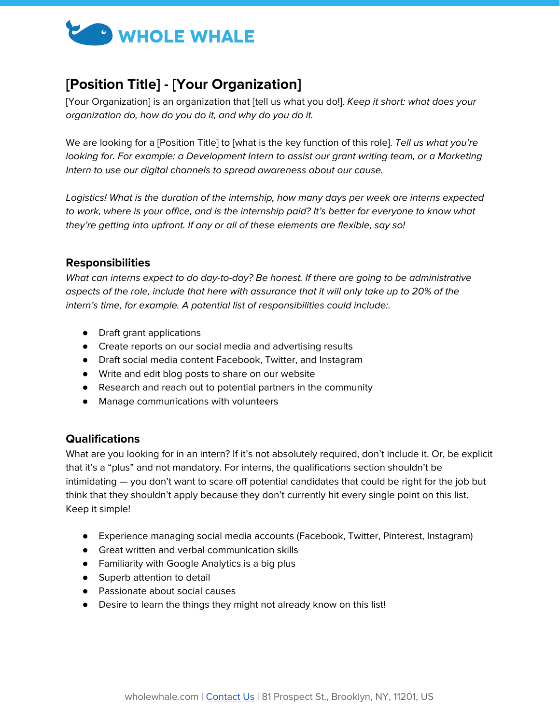

### **[Position Title] - [Your Organization]**

[Your Organization] is an organization that [tell us what you do!]. Keep it short: what does your organization do, how do you do it, and why do you do it.

We are looking for a [Position Title] to [what is the key function of this role]. Tell us what you're looking for. For example: a Development Intern to assist our grant writing team, or a Marketing Intern to use our digital channels to spread awareness about our cause.

Logistics! What is the duration of the internship, how many days per week are interns expected to work, where is your office, and is the internship paid? It's better for everyone to know what they're getting into upfront. If any or all of these elements are flexible, say so!

#### **Responsibilities**

What can interns expect to do day-to-day? Be honest. If there are going to be administrative aspects of the role, include that here with assurance that it will only take up to 20% of the intern's time, for example. A potential list of responsibilities could include:.

- Draft grant applications
- Create reports on our social media and advertising results
- Draft social media content Facebook, Twitter, and Instagram
- Write and edit blog posts to share on our website
- Research and reach out to potential partners in the community
- Manage communications with volunteers

#### **Qualifications**

What are you looking for in an intern? If it's not absolutely required, don't include it. Or, be explicit that it's a "plus" and not mandatory. For interns, the qualifications section shouldn't be intimidating — you don't want to scare off potential candidates that could be right for the job but think that they shouldn't apply because they don't currently hit every single point on this list. Keep it simple!

- Experience managing social media accounts (Facebook, Twitter, Pinterest, Instagram)
- Great written and verbal communication skills
- Familiarity with Google Analytics is a big plus
- Superb attention to detail
- Passionate about social causes
- Desire to learn the things they might not already know on this list!